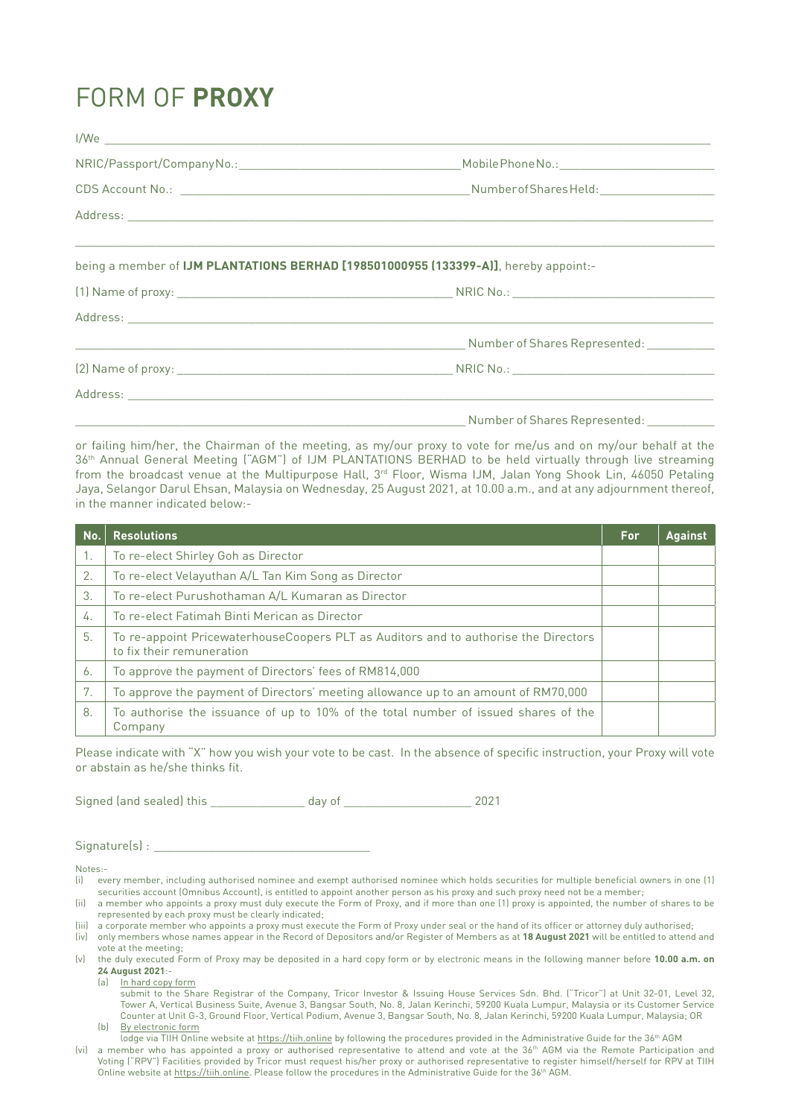## FORM OF **PROXY**

| being a member of IJM PLANTATIONS BERHAD [198501000955 (133399-A)], hereby appoint:- |
|--------------------------------------------------------------------------------------|
|                                                                                      |
|                                                                                      |
|                                                                                      |
|                                                                                      |
|                                                                                      |
|                                                                                      |
|                                                                                      |

or failing him/her, the Chairman of the meeting, as my/our proxy to vote for me/us and on my/our behalf at the 36th Annual General Meeting ("AGM") of IJM PLANTATIONS BERHAD to be held virtually through live streaming from the broadcast venue at the Multipurpose Hall, 3<sup>rd</sup> Floor, Wisma IJM, Jalan Yong Shook Lin, 46050 Petaling Jaya, Selangor Darul Ehsan, Malaysia on Wednesday, 25 August 2021, at 10.00 a.m., and at any adjournment thereof, in the manner indicated below:-

| No. | <b>Resolutions</b>                                                                                               | For | <b>Against</b> |
|-----|------------------------------------------------------------------------------------------------------------------|-----|----------------|
| 1.  | To re-elect Shirley Goh as Director                                                                              |     |                |
| 2.  | To re-elect Velayuthan A/L Tan Kim Song as Director                                                              |     |                |
| 3.  | To re-elect Purushothaman A/L Kumaran as Director                                                                |     |                |
| 4.  | To re-elect Fatimah Binti Merican as Director                                                                    |     |                |
| 5.  | To re-appoint PricewaterhouseCoopers PLT as Auditors and to authorise the Directors<br>to fix their remuneration |     |                |
| 6.  | To approve the payment of Directors' fees of RM814,000                                                           |     |                |
| 7.  | To approve the payment of Directors' meeting allowance up to an amount of RM70,000                               |     |                |
| 8.  | To authorise the issuance of up to 10% of the total number of issued shares of the<br>Company                    |     |                |

Please indicate with "X" how you wish your vote to be cast. In the absence of specific instruction, your Proxy will vote or abstain as he/she thinks fit.

Signed (and sealed) this day of  $\qquad \qquad$  2021

 $Signature(s)$ :

Notes:-

- (i) every member, including authorised nominee and exempt authorised nominee which holds securities for multiple beneficial owners in one (1) securities account (Omnibus Account), is entitled to appoint another person as his proxy and such proxy need not be a member;
- (ii) a member who appoints a proxy must duly execute the Form of Proxy, and if more than one (1) proxy is appointed, the number of shares to be represented by each proxy must be clearly indicated;
- Itil) a corporate member who appoints a proxy must execute the Form of Proxy under seal or the hand of its officer or attorney duly authorised;
- (iv) only members whose names appear in the Record of Depositors and/or Register of Members as at **18 August 2021** will be entitled to attend and vote at the meeting;
- (v) the duly executed Form of Proxy may be deposited in a hard copy form or by electronic means in the following manner before **10.00 a.m. on 24 August 2021**:-

(a) In hard copy form

 submit to the Share Registrar of the Company, Tricor Investor & Issuing House Services Sdn. Bhd. ("Tricor") at Unit 32-01, Level 32, Tower A, Vertical Business Suite, Avenue 3, Bangsar South, No. 8, Jalan Kerinchi, 59200 Kuala Lumpur, Malaysia or its Customer Service Counter at Unit G-3, Ground Floor, Vertical Podium, Avenue 3, Bangsar South, No. 8, Jalan Kerinchi, 59200 Kuala Lumpur, Malaysia; OR (b) By electronic form

lodge via TIIH Online website at https://tiih.online by following the procedures provided in the Administrative Guide for the 36<sup>th</sup> AGM

<sup>(</sup>vi) a member who has appointed a proxy or authorised representative to attend and vote at the 36<sup>th</sup> AGM via the Remote Participation and Voting ("RPV") Facilities provided by Tricor must request his/her proxy or authorised representative to register himself/herself for RPV at TIIH Online website at https://tiih.online. Please follow the procedures in the Administrative Guide for the 36th AGM.